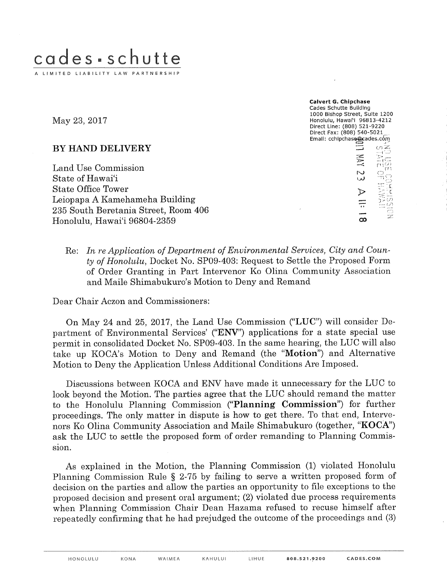

May 23, 2017

BY HAND DELIVERY

Land Use Commission State of Hawai'i **State Office Tower** Leiopapa A Kamehameha Building 235 South Beretania Street, Room 406 Honolulu, Hawai'i 96804-2359

Calvert G. Chipchase Cades Schutte Building 1000 Bishop Street, Sulte 1200 Honolulu, Hawal'i 96813-4212 Direct Line: (808) 521-9220 Direct Fax: (808) 540-5021 Email: cchipchase@cades.com  $\triangleright$ 

Re: In re Application of Department of Environmental Services, City and County of Honolulu, Docket No. SP09-403: Request to Settle the Proposed Form of Order Granting in Part Intervenor Ko Olina Community Association and Maile Shimabukuro's Motion to Deny and Remand

Dear Chair Aczon and Commissioners:

On May 24 and 25, 2017, the Land Use Commission ("LUC") will consider Department of Environmental Services' ("ENV") applications for a state special use permit in consolidated Docket No. SP09-403. In the same hearing, the LUC will also take up KOCA's Motion to Deny and Remand (the "Motion") and Alternative Motion to Deny the Application Unless Additional Conditions Are Imposed.

Discussions between KOCA and ENV have made it unnecessary for the LUC to look beyond the Motion. The parties agree that the LUC should remand the matter to the Honolulu Planning Commission ("Planning Commission") for further proceedings. The only matter in dispute is how to get there. To that end, Intervenors Ko Olina Community Association and Maile Shimabukuro (together, "KOCA") ask the LUC to settle the proposed form of order remanding to Planning Commission.

As explained in the Motion, the Planning Commission (1) violated Honolulu Planning Commission Rule § 2-75 by failing to serve a written proposed form of decision on the parties and allow the parties an opportunity to file exceptions to the proposed decision and present oral argument; (2) violated due process requirements when Planning Commission Chair Dean Hazama refused to recuse himself after repeatedly confirming that he had prejudged the outcome of the proceedings and (3)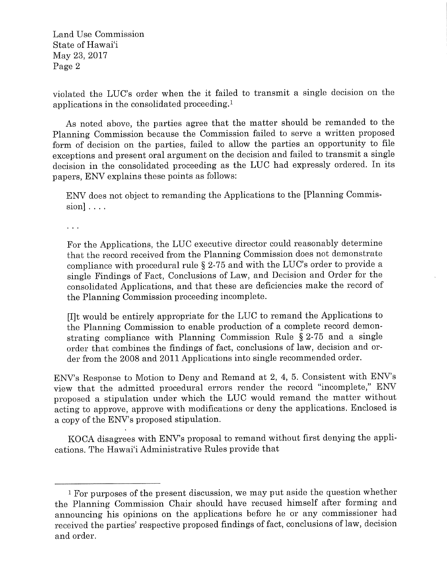Land Use Commission State of Hawai'i May 23, 2017 Page 2

violated the LUC's order when the it failed to transmit a single decision on the applications in the consolidated proceeding.1

As noted above, the parties agree that the matter should be remanded to the Planning Commission because the Commission failed to serve a written proposed form of decision on the parties, failed to allow the parties an opportunity to file exceptions and present oral argument on the decision and failed to transmit a single decision in the consolidated proceeding as the LUC had expressly ordered. In its papers, ENV explains these points as follows:

ENV does not object to remanding the Applications to the [Planning Commis $sion$ ]....

 $\mathbf{1}$ 

For the Applications, the LUC executive director could reasonably determine that the record received from the Planning Commission does not demonstrate compliance with procedural rule § 2-75 and with the LUC's order to provide a single Findings of Fact, Conclusions of Law, and Decision and Order for the consolidated Applications, and that these are deficiencies make the record of the Planning Commission proceeding incomplete.

[I]t would be entirely appropriate for the LUC to remand the Applications to the Planning Commission to enable production of a complete record demonstrating compliance with Planning Commission Rule § 2-75 and a single order that combines the findings of fact, conclusions of law, decision and order from the 2008 and 2011 Applications into single recommended order.

ENV's Response to Motion to Deny and Remand at 2, 4, 5. Consistent with ENV's view that the admitted procedural errors render the record "incomplete," ENV proposed a stipulation under which the LUC would remand the matter without acting to approve, approve with modifications or deny the applications. Enclosed is a copy of the ENV's proposed stipulation.

KOCA disagrees with ENV's proposal to remand without first denying the applications. The Hawai'i Administrative Rules provide that

<sup>1</sup> For purposes of the present discussion, we may put aside the question whether the Planning Commission Chair should have recused himself after forming and announcing his opinions on the applications before he or any commissioner had received the parties' respective proposed findings of fact, conclusions of law, decision and order.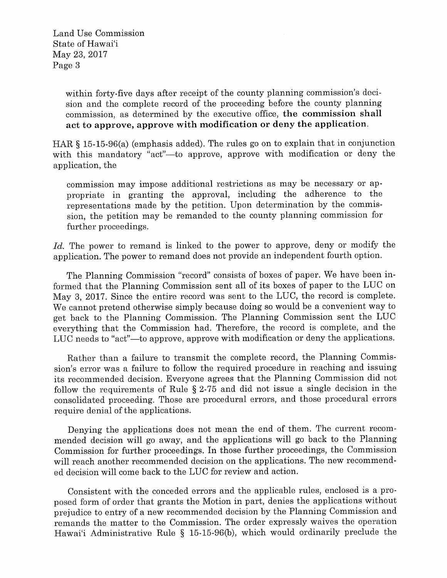Land Use Commission State of Hawai'i May 23, 2017 Page 3

> within forty-five days after receipt of the county planning commission's decision and the complete record of the proceeding before the county planning commission, as determined by the executive office, the commission shall act to approve, approve with modification or deny the application.

HAR § 15-15-96(a) (emphasis added). The rules go on to explain that in conjunction with this mandatory "act"--to approve, approve with modification or deny the application, the

commission may impose additional restrictions as may be necessary or appropriate in granting the approval, including the adherence to the representations made by the petition. Upon determination by the commission, the petition may be remanded to the county planning commission for further proceedings.

Id. The power to remand is linked to the power to approve, deny or modify the application. The power to remand does not provide an independent fourth option.

The Planning Commission "record" consists of boxes of paper. We have been informed that the Planning Commission sent all of its boxes of paper to the LUC on May 3, 2017. Since the entire record was sent to the LUC, the record is complete. We cannot pretend otherwise simply because doing so would be a convenient way to get back to the Planning Commission. The Planning Commission sent the LUC everything that the Commission had. Therefore, the record is complete, and the LUC needs to "act"—to approve, approve with modification or deny the applications.

Rather than a failure to transmit the complete record, the Planning Commission's error was a failure to follow the required procedure in reaching and issuing its recommended decision. Everyone agrees that the Planning Commission did not follow the requirements of Rule § 2-75 and did not issue a single decision in the consolidated proceeding. Those are procedural errors, and those procedural errors require denial of the applications.

Denying the applications does not mean the end of them. The current recommended decision will go away, and the applications will go back to the Planning Commission for further proceedings. In those further proceedings, the Commission will reach another recommended decision on the applications. The new recommended decision will come back to the LUC for review and action.

Consistent with the conceded errors and the applicable rules, enclosed is a proposed form of order that grants the Motion in part, denies the applications without prejudice to entry of a new recommended decision by the Planning Commission and remands the matter to the Commission. The order expressly waives the operation Hawai'i Administrative Rule § 15-15-96(b), which would ordinarily preclude the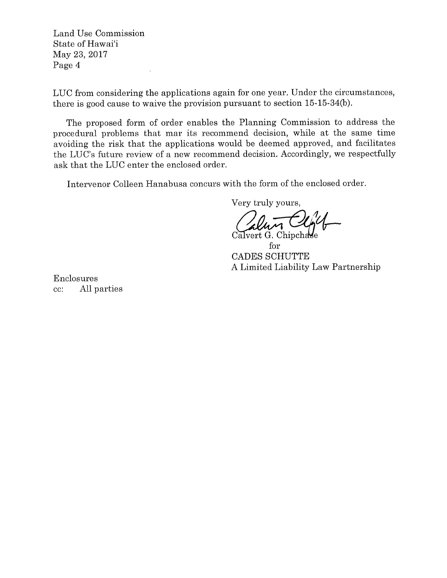Land Use Commission State of Hawai'i May 23, 2017 Page 4

 $\bar{t}$ 

LUC from considering the applications again for one year. Under the circumstances, there is good cause to waive the provision pursuant to section 15-15-34(b).

The proposed form of order enables the Planning Commission to address the procedural problems that mar its recommend decision, while at the same time avoiding the risk that the applications would be deemed approved, and facilitates the LUC's future review of a new recommend decision. Accordingly, we respectfully ask that the LUC enter the enclosed order.

Intervenor Colleen Hanabusa concurs with the form of the enclosed order.

Very truly yours,

Calvert G. Chipchase

for CADES SCHUTTE A Limited Liability Law Partnership

Enclosures cc: All parties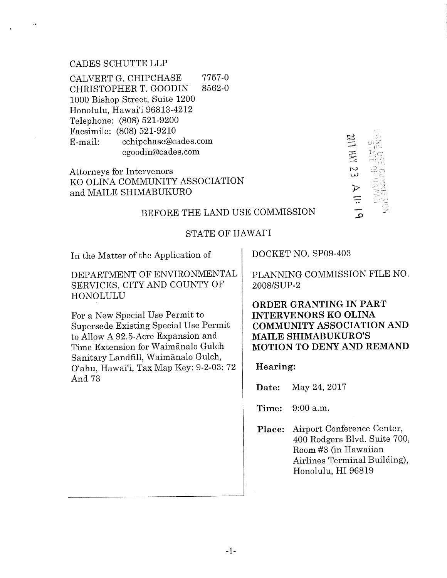## CADES SCHUTTE LLP

,4

CALVERT G. CHIPCHASE CHRISTOPHER T. GOODIN 1000 Bishop Street, Suite 1200 Honolulu, Hawai'i 96813-4212 Telephone: (808) 521-9200 Facsimile: (808) 521-9210 E-mail: 7757-0 8562-0 cchipchase@cades.com cgoodin@cades.com

Attorneys for Intervenors KO OLINA COMMUNITY ASSOCIATION and MAILE SHIMABUKURO

3= III HN 23 ..D  $\pi^*\vec z$ 

### BEFORE THE LAND USE COMMISSION

# STATE OF HAWAI'I

In the Matter of the Application of

DEPARTMENT OF ENVIRONMENTAL SERVICES, CITY AND COUNTY OF HONOLULU

For a New Special Use Permit to Supersede Existing Special Use Permit to Allow A 92.5-Acre Expansion and Time Extension for Waim£nalo Gulch Sanitary Landfill, Waim£nalo Gulch, O'ahu, Hawai'i, Tax Map Key: 9-2-03:72 And 73

DOCKET NO. SP09-403

PLANNING COMMISSION FILE NO. 2008/SUP-2

ORDER GRANTING IN PART INTERVENORS KO OLINA COMMUNITY ASSOCIATION AND MAILE SHIMABUKURO'S MOTION TO DENY AND REMAND

Hearing:

Date: May 24, 2017

Time: 9:00 a.m.

Place: Airport Conference Center, 400 Rodgers Blvd. Suite 700, Room #3 (in Hawaiian Airlines Terminal Building), Honolulu, HI 96819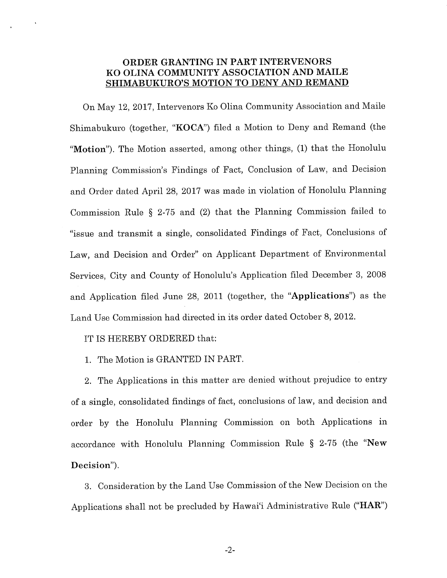## ORDER GRANTING IN PART INTERVENORS KO OLINA COMMUNITY ASSOCIATION AND MAILE SHIMABUKURO'S MOTION TO DENY AND REMAND

On May 12, 2017, Intervenors Ko Olina Community Association and Maile Shimabukuro (together, "KOCA") filed a Motion to Deny and Remand (the "Motion"). The Motion asserted, among other things, (1) that the Honolulu Planning Commission's Findings of Fact, Conclusion of Law, and Decision and Order dated April 28, 2017 was made in violation of Honolulu Planning Commission Rule § 2-75 and (2) that the Planning Commission failed to "issue and transmit a single, consolidated Findings of Fact, Conclusions of Law, and Decision and Order" on Applicant Department of Environmental Services, City and County of Honolulu's Application filed December 3, 2008 and Application filed June 28, 2011 (together, the "Applications") as the Land Use Commission had directed in its order dated October 8, 2012.

### IT IS HEREBY ORDERED that:

1. The Motion is GRANTED IN PART.

2. The Applications in this matter are denied without prejudice to entry of a single, consolidated findings of fact, conclusions of law, and decision and order by the Honolulu Planning Commission on both Applications in accordance with Honolulu Planning Commission Rule § 2-75 (the "New Decision").

3. Consideration by the Land Use Commission of the New Decision on the Applications shall not be precluded by Hawai'i Administrative Rule ("HAR")

-2-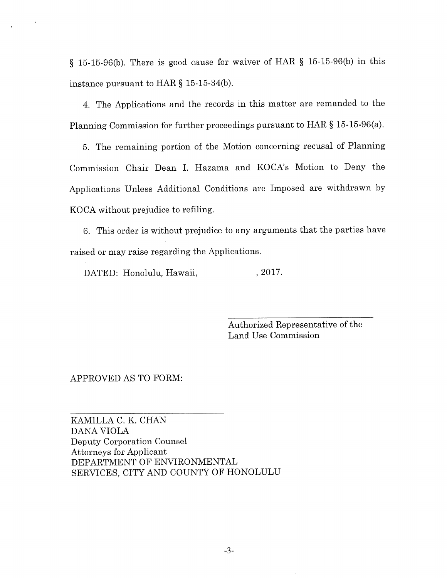§ 15-15-96(b). There is good cause for waiver of HAR § 15-15-96(b) in this instance pursuant to HAR § 15-15-34(b).

4. The Applications and the records in this matter are remanded to the Planning Commission for further proceedings pursuant to HAR § 15-15-96(a).

5. The remaining portion of the Motion concerning recusal of Planning Commission Chair Dean I. Hazama and KOCA's Motion to Deny the Applications Unless Additional Conditions are Imposed are withdrawn by KOCA without prejudice to refiling.

6. This order is without prejudice to any arguments that the parties have raised or may raise regarding the Applications.

DATED: Honolulu, Hawaii, , 2017.

Authorized Representative of the Land Use Commission

### APPROVED AS TO FORM:

KAMILLA C. K. CHAN DANA VIOLA Deputy Corporation Counsel Attorneys for Applicant DEPARTMENT OF ENVIRONMENTAL SERVICES, CITY AND COUNTY OF HONOLULU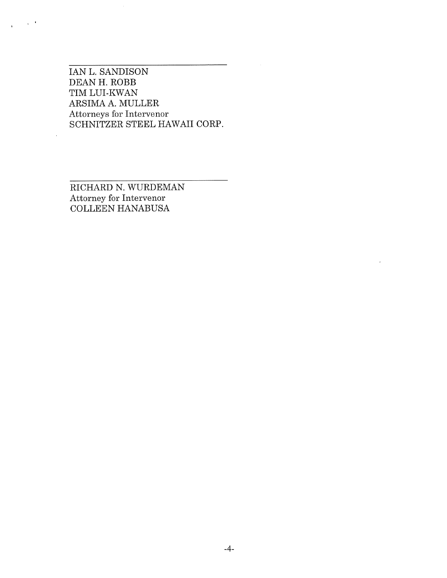IAN L. SANDISON DEAN H. ROBB TIM LUI-KWAN ARSIMA A. MULLER Attorneys for Intervenor SCHNITZER STEEL HAWAII CORP.

 $\chi=0$ 

|

RICHARD N. WURDEMAN Attorney for Intervenor COLLEEN HANABUSA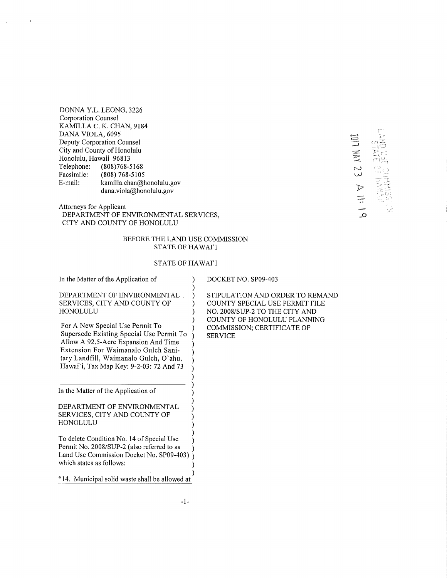DONNA Y.L. LEONG, 3226 Corporation Counsel KAMILLA C. K. CHAN, 9184 DANA VIOLA, 6095 Deputy Corporation Counsel City and County of Honolulu Honolulu, Hawaii 96813 Telephone: (808)768-5168 Facsimile: (808) 768-5105 E-mail: kamilla.chan@honolulu.gov dana.viola@honolulu.gov

Attorneys for Applicant DEPARTMENT OF ENVIRONMENTAL SERVICES, CITY AND COUNTY OF HONOLULU

#### BEFORE THE LAND USE COMMISSION STATE OF HAWAI'I

### STATE OF HAWAI'I

DEPARTMENT OF ENVIRONMENTAL SERVICES, CITY AND COUNTY OF HONOLULU For A New Special Use Permit To Supersede Existing Special Use Permit To Allow A 92.5-Acre Expansion And Time Extension For Waimanalo Gulch Sanitary Landfill, Waimanalo Gulch, O'ahu, Hawai'i, Tax Map Key: 9-2-03:72 And 73 ) ) ) ) ) ) ) ) ) ) ) ) ) ) In the Matter of the Application of

In the Matter of the Application of

DEPARTMENT OF ENVIRONMENTAL SERVICES, CITY AND COUNTY OF HONOLULU

To delete Condition No. 14 of Special Use Permit No. 2008/SUP-2 (also referred to as Land Use Commission Docket No. SP09-403) which states as follows: ) ) ) ) ) )

"14. Municipal solid waste shall be allowed at

DOCKET NO. SP09-403

STIPULATION AND ORDER TO REMAND COUNTY SPECIAL USE PERMIT FILE NO. 2008/SUP-2 TO THE CITY AND COUNTY OF HONOLULU PLANNING COMMISSION; CERTIFICATE OF SERVICE

JDI NN 123 [-  $\mathfrak{i}$   $\subset$   $\mathfrak{j}$  $\mathbb{Z}_1$ c $=$  $F^1(Y)$ .... '-'2ÿ • 1 ÿ [/,

2 , >'

) ) ) ) )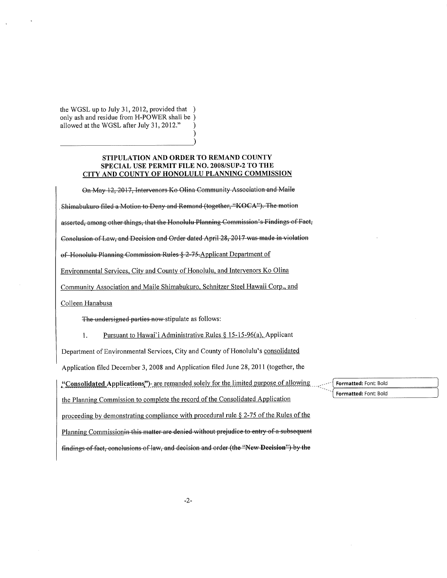the WGSL up to July 31, 2012, provided that ) only ash and residue from H-POWER shall be) allowed at the WGSL after July 31, 2012."

#### STIPULATION AND ORDER TO REMAND COUNTY SPECIAL USE PERMIT FILE NO. 2008/SUP-2 TO THE CITY AND COUNTY OF HONOLULU PLANNING COMMISSION

On May 12, 2017, Intervenors Ko Olina Community Association and Maile

Shimabukuro filed a Motion to Deny and Remand (together, "KOCA"). The motion

asserted, among other things, that the Honolulu Planning Commission's Findings of Fact,

Conclusion of Law, and Decision and Order dated April 28, 2017 was made in violation

of Honolulu Planning Commission Rules § 2-75-Applicant Department of

Environmental Services, City and County of Honolulu, and Intervenors Ko Olina

Community Association and Maile Shimabukuro, Schnitzer Steel Hawaii Corp., and

Colleen Hanabusa

The undersigned parties now stipulate as follows:

Pursuant to Hawai'i Administrative Rules § 15-15-96(a), Applicant 1.

Department of Environmental Services, City and County of Honolulu's consolidated

Application filed December 3, 2008 and Application filed June 28, 2011 (together, the

"Consolidated Applications") are remanded solely for the limited purpose of allowing the Planning Commission to complete the record of the Consolidated Application

proceeding by demonstrating compliance with procedural rule  $\S 2$ -75 of the Rules of the Planning Commissionin this matter are denied without prejudice to entry of a subsequent findings of fact, conclusions of law, and decision and order (the "New Decision") by the

Formatted: Font: Bold Formatted: Font: Bold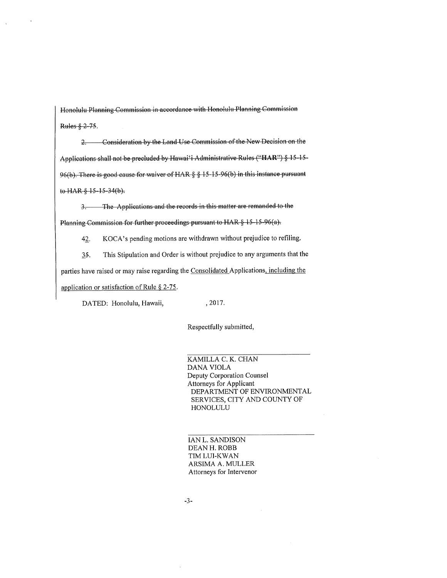Honolulu Planning Commission in accordance with Honolulu Planning Commission Rules § 2-75.

2. Consideration by the Land Use Commission of the New Decision on the Applications shall not be precluded by Hawai'i Administrative Rules ("HAR") § 15-15-96(b). There is good cause for waiver of HAR § § 15-15-96(b) in this instance pursuant to HAR § 15-15-34(b).

The Applications and the records in this matter are remanded to the  $3 -$ Planning Commission for further proceedings pursuant to HAR § 15-15-96(a).

KOCA's pending motions are withdrawn without prejudice to refiling. 42.

 $35.$ This Stipulation and Order is without prejudice to any arguments that the parties have raised or may raise regarding the Consolidated Applications, including the application or satisfaction of Rule  $\S$  2-75.

, 2017. DATED: Honolulu, Hawaii,

Respectfully submitted,

KAMILLA C. K. CHAN **DANA VIOLA** Deputy Corporation Counsel **Attorneys for Applicant** DEPARTMENT OF ENVIRONMENTAL SERVICES, CITY AND COUNTY OF HONOLULU

IAN L. SANDISON DEAN H. ROBB TIM LUI-KWAN ARSIMA A. MULLER Attorneys for Intervenor